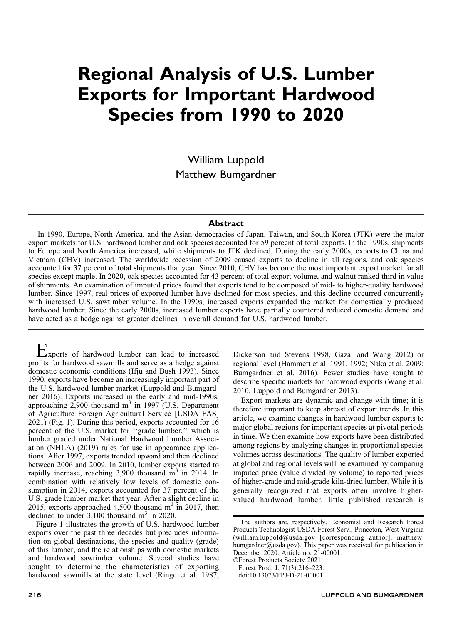# Regional Analysis of U.S. Lumber Exports for Important Hardwood Species from 1990 to 2020

William Luppold Matthew Bumgardner

# **Abstract**

In 1990, Europe, North America, and the Asian democracies of Japan, Taiwan, and South Korea (JTK) were the major export markets for U.S. hardwood lumber and oak species accounted for 59 percent of total exports. In the 1990s, shipments to Europe and North America increased, while shipments to JTK declined. During the early 2000s, exports to China and Vietnam (CHV) increased. The worldwide recession of 2009 caused exports to decline in all regions, and oak species accounted for 37 percent of total shipments that year. Since 2010, CHV has become the most important export market for all species except maple. In 2020, oak species accounted for 43 percent of total export volume, and walnut ranked third in value of shipments. An examination of imputed prices found that exports tend to be composed of mid- to higher-quality hardwood lumber. Since 1997, real prices of exported lumber have declined for most species, and this decline occurred concurrently with increased U.S. sawtimber volume. In the 1990s, increased exports expanded the market for domestically produced hardwood lumber. Since the early 2000s, increased lumber exports have partially countered reduced domestic demand and have acted as a hedge against greater declines in overall demand for U.S. hardwood lumber.

Exports of hardwood lumber can lead to increased profits for hardwood sawmills and serve as a hedge against domestic economic conditions (Ifju and Bush 1993). Since 1990, exports have become an increasingly important part of the U.S. hardwood lumber market (Luppold and Bumgardner 2016). Exports increased in the early and mid-1990s, approaching  $2,900$  thousand m<sup>3</sup> in 1997 (U.S. Department of Agriculture Foreign Agricultural Service [USDA FAS] 2021) (Fig. 1). During this period, exports accounted for 16 percent of the U.S. market for ''grade lumber,'' which is lumber graded under National Hardwood Lumber Association (NHLA) (2019) rules for use in appearance applications. After 1997, exports trended upward and then declined between 2006 and 2009. In 2010, lumber exports started to rapidly increase, reaching  $3,900$  thousand m<sup>3</sup> in 2014. In combination with relatively low levels of domestic consumption in 2014, exports accounted for 37 percent of the U.S. grade lumber market that year. After a slight decline in 2015, exports approached 4,500 thousand  $m<sup>3</sup>$  in 2017, then declined to under  $3,100$  thousand  $m<sup>3</sup>$  in 2020.

Figure 1 illustrates the growth of U.S. hardwood lumber exports over the past three decades but precludes information on global destinations, the species and quality (grade) of this lumber, and the relationships with domestic markets and hardwood sawtimber volume. Several studies have sought to determine the characteristics of exporting hardwood sawmills at the state level (Ringe et al. 1987, Dickerson and Stevens 1998, Gazal and Wang 2012) or regional level (Hammett et al. 1991, 1992; Naka et al. 2009; Bumgardner et al. 2016). Fewer studies have sought to describe specific markets for hardwood exports (Wang et al. 2010, Luppold and Bumgardner 2013).

Export markets are dynamic and change with time; it is therefore important to keep abreast of export trends. In this article, we examine changes in hardwood lumber exports to major global regions for important species at pivotal periods in time. We then examine how exports have been distributed among regions by analyzing changes in proportional species volumes across destinations. The quality of lumber exported at global and regional levels will be examined by comparing imputed price (value divided by volume) to reported prices of higher-grade and mid-grade kiln-dried lumber. While it is generally recognized that exports often involve highervalued hardwood lumber, little published research is

The authors are, respectively, Economist and Research Forest Products Technologist USDA Forest Serv., Princeton, West Virginia (william.luppold@usda.gov [corresponding author], matthew. bumgardner@usda.gov). This paper was received for publication in December 2020. Article no. 21-00001.

<sup>-</sup>Forest Products Society 2021. Forest Prod. J. 71(3):216–223.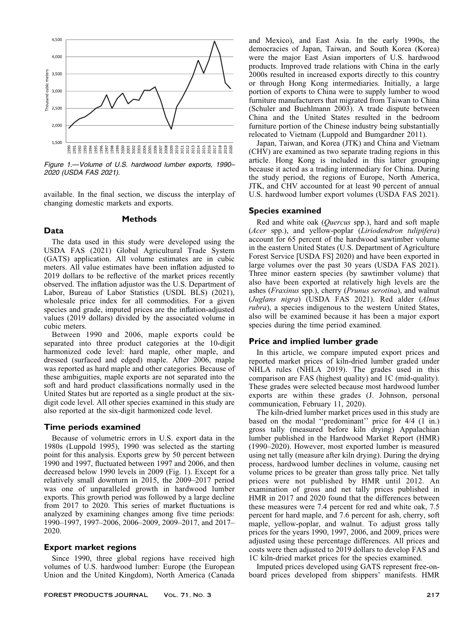

Figure 1.—Volume of U.S. hardwood lumber exports, 1990– 2020 (USDA FAS 2021).

available. In the final section, we discuss the interplay of changing domestic markets and exports.

### Methods

The data used in this study were developed using the USDA FAS (2021) Global Agricultural Trade System (GATS) application. All volume estimates are in cubic meters. All value estimates have been inflation adjusted to 2019 dollars to be reflective of the market prices recently observed. The inflation adjustor was the U.S. Department of Labor, Bureau of Labor Statistics (USDL BLS) (2021), wholesale price index for all commodities. For a given species and grade, imputed prices are the inflation-adjusted values (2019 dollars) divided by the associated volume in cubic meters.

Between 1990 and 2006, maple exports could be separated into three product categories at the 10-digit harmonized code level: hard maple, other maple, and dressed (surfaced and edged) maple. After 2006, maple was reported as hard maple and other categories. Because of these ambiguities, maple exports are not separated into the soft and hard product classifications normally used in the United States but are reported as a single product at the sixdigit code level. All other species examined in this study are also reported at the six-digit harmonized code level.

# Time periods examined

Data

Because of volumetric errors in U.S. export data in the 1980s (Luppold 1995), 1990 was selected as the starting point for this analysis. Exports grew by 50 percent between 1990 and 1997, fluctuated between 1997 and 2006, and then decreased below 1990 levels in 2009 (Fig. 1). Except for a relatively small downturn in 2015, the 2009–2017 period was one of unparalleled growth in hardwood lumber exports. This growth period was followed by a large decline from 2017 to 2020. This series of market fluctuations is analyzed by examining changes among five time periods: 1990–1997, 1997–2006, 2006–2009, 2009–2017, and 2017– 2020.

# Export market regions

Since 1990, three global regions have received high volumes of U.S. hardwood lumber: Europe (the European Union and the United Kingdom), North America (Canada

and Mexico), and East Asia. In the early 1990s, the democracies of Japan, Taiwan, and South Korea (Korea) were the major East Asian importers of U.S. hardwood products. Improved trade relations with China in the early 2000s resulted in increased exports directly to this country or through Hong Kong intermediaries. Initially, a large portion of exports to China were to supply lumber to wood furniture manufacturers that migrated from Taiwan to China (Schuler and Buehlmann 2003). A trade dispute between China and the United States resulted in the bedroom furniture portion of the Chinese industry being substantially relocated to Vietnam (Luppold and Bumgardner 2011).

Japan, Taiwan, and Korea (JTK) and China and Vietnam (CHV) are examined as two separate trading regions in this article. Hong Kong is included in this latter grouping because it acted as a trading intermediary for China. During the study period, the regions of Europe, North America, JTK, and CHV accounted for at least 90 percent of annual U.S. hardwood lumber export volumes (USDA FAS 2021).

# Species examined

Red and white oak (Quercus spp.), hard and soft maple (Acer spp.), and yellow-poplar (Liriodendron tulipifera) account for 65 percent of the hardwood sawtimber volume in the eastern United States (U.S. Department of Agriculture Forest Service [USDA FS] 2020) and have been exported in large volumes over the past 30 years (USDA FAS 2021). Three minor eastern species (by sawtimber volume) that also have been exported at relatively high levels are the ashes (Fraxinus spp.), cherry (Prunus serotina), and walnut (Juglans nigra) (USDA FAS 2021). Red alder (Alnus rubra), a species indigenous to the western United States, also will be examined because it has been a major export species during the time period examined.

# Price and implied lumber grade

In this article, we compare imputed export prices and reported market prices of kiln-dried lumber graded under NHLA rules (NHLA 2019). The grades used in this comparison are FAS (highest quality) and 1C (mid-quality). These grades were selected because most hardwood lumber exports are within these grades (J. Johnson, personal communication, February 11, 2020).

The kiln-dried lumber market prices used in this study are based on the modal ''predominant'' price for 4/4 (1 in.) gross tally (measured before kiln drying) Appalachian lumber published in the Hardwood Market Report (HMR) (1990–2020). However, most exported lumber is measured using net tally (measure after kiln drying). During the drying process, hardwood lumber declines in volume, causing net volume prices to be greater than gross tally price. Net tally prices were not published by HMR until 2012. An examination of gross and net tally prices published in HMR in 2017 and 2020 found that the differences between these measures were 7.4 percent for red and white oak, 7.5 percent for hard maple, and 7.6 percent for ash, cherry, soft maple, yellow-poplar, and walnut. To adjust gross tally prices for the years 1990, 1997, 2006, and 2009, prices were adjusted using these percentage differences. All prices and costs were then adjusted to 2019 dollars to develop FAS and 1C kiln-dried market prices for the species examined.

Imputed prices developed using GATS represent free-onboard prices developed from shippers' manifests. HMR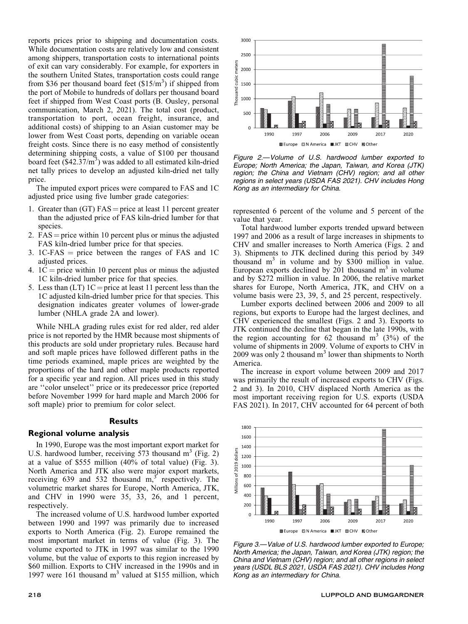reports prices prior to shipping and documentation costs. While documentation costs are relatively low and consistent among shippers, transportation costs to international points of exit can vary considerably. For example, for exporters in the southern United States, transportation costs could range from \$36 per thousand board feet  $($15/m^3)$  if shipped from the port of Mobile to hundreds of dollars per thousand board feet if shipped from West Coast ports (B. Ousley, personal communication, March 2, 2021). The total cost (product, transportation to port, ocean freight, insurance, and additional costs) of shipping to an Asian customer may be lower from West Coast ports, depending on variable ocean freight costs. Since there is no easy method of consistently determining shipping costs, a value of \$100 per thousand board feet  $(S42.37/m<sup>3</sup>)$  was added to all estimated kiln-dried net tally prices to develop an adjusted kiln-dried net tally price.

The imputed export prices were compared to FAS and 1C adjusted price using five lumber grade categories:

- 1. Greater than  $(GT)$  FAS = price at least 11 percent greater than the adjusted price of FAS kiln-dried lumber for that species.
- 2.  $FAS = price$  within 10 percent plus or minus the adjusted FAS kiln-dried lumber price for that species.
- 3. 1C-FAS  $=$  price between the ranges of FAS and 1C adjusted prices.
- 4.  $1C =$  price within 10 percent plus or minus the adjusted 1C kiln-dried lumber price for that species.
- 5. Less than  $(LT)$  1C = price at least 11 percent less than the 1C adjusted kiln-dried lumber price for that species. This designation indicates greater volumes of lower-grade lumber (NHLA grade 2A and lower).

While NHLA grading rules exist for red alder, red alder price is not reported by the HMR because most shipments of this products are sold under proprietary rules. Because hard and soft maple prices have followed different paths in the time periods examined, maple prices are weighted by the proportions of the hard and other maple products reported for a specific year and region. All prices used in this study are ''color unselect'' price or its predecessor price (reported before November 1999 for hard maple and March 2006 for soft maple) prior to premium for color select.

#### Results

#### Regional volume analysis

In 1990, Europe was the most important export market for U.S. hardwood lumber, receiving 573 thousand  $m<sup>3</sup>$  (Fig. 2) at a value of \$555 million (40% of total value) (Fig. 3). North America and JTK also were major export markets, receiving  $639$  and  $532$  thousand m,<sup>3</sup> respectively. The volumetric market shares for Europe, North America, JTK, and CHV in 1990 were 35, 33, 26, and 1 percent, respectively.

The increased volume of U.S. hardwood lumber exported between 1990 and 1997 was primarily due to increased exports to North America (Fig. 2). Europe remained the most important market in terms of value (Fig. 3). The volume exported to JTK in 1997 was similar to the 1990 volume, but the value of exports to this region increased by \$60 million. Exports to CHV increased in the 1990s and in 1997 were 161 thousand  $m<sup>3</sup>$  valued at \$155 million, which



Figure 2.—Volume of U.S. hardwood lumber exported to Europe; North America; the Japan, Taiwan, and Korea (JTK) region; the China and Vietnam (CHV) region; and all other regions in select years (USDA FAS 2021). CHV includes Hong Kong as an intermediary for China.

represented 6 percent of the volume and 5 percent of the value that year.

Total hardwood lumber exports trended upward between 1997 and 2006 as a result of large increases in shipments to CHV and smaller increases to North America (Figs. 2 and 3). Shipments to JTK declined during this period by 349 thousand  $m<sup>3</sup>$  in volume and by \$300 million in value. European exports declined by 201 thousand  $m<sup>3</sup>$  in volume and by \$272 million in value. In 2006, the relative market shares for Europe, North America, JTK, and CHV on a volume basis were 23, 39, 5, and 25 percent, respectively.

Lumber exports declined between 2006 and 2009 to all regions, but exports to Europe had the largest declines, and CHV experienced the smallest (Figs. 2 and 3). Exports to JTK continued the decline that began in the late 1990s, with the region accounting for 62 thousand  $m<sup>3</sup>$  (3%) of the volume of shipments in 2009. Volume of exports to CHV in 2009 was only 2 thousand  $m<sup>3</sup>$  lower than shipments to North America.

The increase in export volume between 2009 and 2017 was primarily the result of increased exports to CHV (Figs. 2 and 3). In 2010, CHV displaced North America as the most important receiving region for U.S. exports (USDA FAS 2021). In 2017, CHV accounted for 64 percent of both



Figure 3.—Value of U.S. hardwood lumber exported to Europe; North America; the Japan, Taiwan, and Korea (JTK) region; the China and Vietnam (CHV) region; and all other regions in select years (USDL BLS 2021, USDA FAS 2021). CHV includes Hong Kong as an intermediary for China.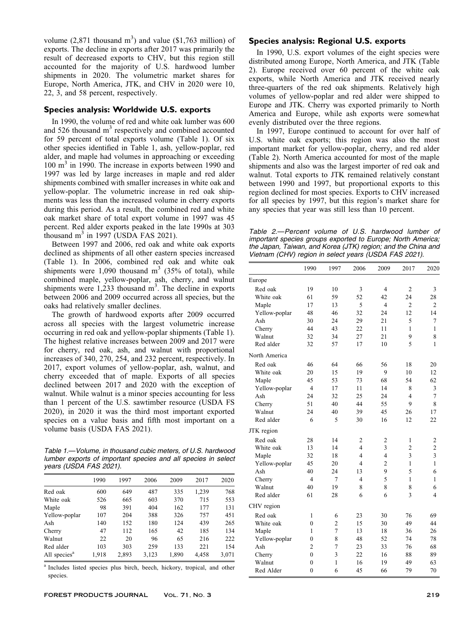volume  $(2,871$  thousand m<sup>3</sup>) and value  $(\$1,763$  million) of exports. The decline in exports after 2017 was primarily the result of decreased exports to CHV, but this region still accounted for the majority of U.S. hardwood lumber shipments in 2020. The volumetric market shares for Europe, North America, JTK, and CHV in 2020 were 10, 22, 3, and 58 percent, respectively.

# Species analysis: Worldwide U.S. exports

In 1990, the volume of red and white oak lumber was 600 and  $526$  thousand  $m<sup>3</sup>$  respectively and combined accounted for 59 percent of total exports volume (Table 1). Of six other species identified in Table 1, ash, yellow-poplar, red alder, and maple had volumes in approaching or exceeding 100 m<sup>3</sup> in 1990. The increase in exports between 1990 and 1997 was led by large increases in maple and red alder shipments combined with smaller increases in white oak and yellow-poplar. The volumetric increase in red oak shipments was less than the increased volume in cherry exports during this period. As a result, the combined red and white oak market share of total export volume in 1997 was 45 percent. Red alder exports peaked in the late 1990s at 303 thousand  $m<sup>3</sup>$  in 1997 (USDA FAS 2021).

Between 1997 and 2006, red oak and white oak exports declined as shipments of all other eastern species increased (Table 1). In 2006, combined red oak and white oak shipments were 1,090 thousand  $m<sup>3</sup>$  (35% of total), while combined maple, yellow-poplar, ash, cherry, and walnut shipments were  $1,233$  thousand  $m<sup>3</sup>$ . The decline in exports between 2006 and 2009 occurred across all species, but the oaks had relatively smaller declines.

The growth of hardwood exports after 2009 occurred across all species with the largest volumetric increase occurring in red oak and yellow-poplar shipments (Table 1). The highest relative increases between 2009 and 2017 were for cherry, red oak, ash, and walnut with proportional increases of 340, 270, 254, and 232 percent, respectively. In 2017, export volumes of yellow-poplar, ash, walnut, and cherry exceeded that of maple. Exports of all species declined between 2017 and 2020 with the exception of walnut. While walnut is a minor species accounting for less than 1 percent of the U.S. sawtimber resource (USDA FS 2020), in 2020 it was the third most important exported species on a value basis and fifth most important on a volume basis (USDA FAS 2021).

Table 1.—Volume, in thousand cubic meters, of U.S. hardwood lumber exports of important species and all species in select years (USDA FAS 2021).

|                          | 1990  | 1997  | 2006  | 2009  | 2017  | 2020  |
|--------------------------|-------|-------|-------|-------|-------|-------|
| Red oak                  | 600   | 649   | 487   | 335   | 1,239 | 768   |
| White oak                | 526   | 665   | 603   | 370   | 715   | 553   |
| Maple                    | 98    | 391   | 404   | 162   | 177   | 131   |
| Yellow-poplar            | 107   | 204   | 388   | 326   | 757   | 451   |
| Ash                      | 140   | 152   | 180   | 124   | 439   | 265   |
| Cherry                   | 47    | 112   | 165   | 42    | 185   | 134   |
| Walnut                   | 22    | 20    | 96    | 65    | 216   | 222   |
| Red alder                | 103   | 303   | 259   | 133   | 221   | 154   |
| All species <sup>a</sup> | 1,918 | 2,893 | 3,123 | 1,890 | 4,458 | 3,071 |

<sup>a</sup> Includes listed species plus birch, beech, hickory, tropical, and other species.

# Species analysis: Regional U.S. exports

In 1990, U.S. export volumes of the eight species were distributed among Europe, North America, and JTK (Table 2). Europe received over 60 percent of the white oak exports, while North America and JTK received nearly three-quarters of the red oak shipments. Relatively high volumes of yellow-poplar and red alder were shipped to Europe and JTK. Cherry was exported primarily to North America and Europe, while ash exports were somewhat evenly distributed over the three regions.

In 1997, Europe continued to account for over half of U.S. white oak exports; this region was also the most important market for yellow-poplar, cherry, and red alder (Table 2). North America accounted for most of the maple shipments and also was the largest importer of red oak and walnut. Total exports to JTK remained relatively constant between 1990 and 1997, but proportional exports to this region declined for most species. Exports to CHV increased for all species by 1997, but this region's market share for any species that year was still less than 10 percent.

Table 2.—Percent volume of U.S. hardwood lumber of important species groups exported to Europe; North America; the Japan, Taiwan, and Korea (JTK) region; and the China and Vietnam (CHV) region in select years (USDA FAS 2021).

|               | 1990           | 1997           | 2006           | 2009           | 2017           | 2020           |
|---------------|----------------|----------------|----------------|----------------|----------------|----------------|
| Europe        |                |                |                |                |                |                |
| Red oak       | 19             | 10             | 3              | $\overline{4}$ | 2              | 3              |
| White oak     | 61             | 59             | 52             | 42             | 24             | 28             |
| Maple         | 17             | 13             | 5              | $\overline{4}$ | $\overline{c}$ | $\overline{c}$ |
| Yellow-poplar | 48             | 46             | 32             | 24             | 12             | 14             |
| Ash           | 30             | 24             | 29             | 21             | 5              | 7              |
| Cherry        | 44             | 43             | 22             | 11             | 1              | 1              |
| Walnut        | 32             | 34             | 27             | 21             | 9              | 8              |
| Red alder     | 32             | 57             | 17             | 10             | 5              | $\mathbf{1}$   |
| North America |                |                |                |                |                |                |
| Red oak       | 46             | 64             | 66             | 56             | 18             | 20             |
| White oak     | 20             | 15             | 19             | 9              | 10             | 12             |
| Maple         | 45             | 53             | 73             | 68             | 54             | 62             |
| Yellow-poplar | 4              | 17             | 11             | 14             | 8              | 3              |
| Ash           | 24             | 32             | 25             | 24             | $\overline{4}$ | $\overline{7}$ |
| Cherry        | 51             | 40             | 44             | 55             | 9              | 8              |
| Walnut        | 24             | 40             | 39             | 45             | 26             | 17             |
| Red alder     | 6              | 5              | 30             | 16             | 12             | 22             |
| JTK region    |                |                |                |                |                |                |
| Red oak       | 28             | 14             | $\overline{c}$ | $\overline{c}$ | 1              | $\overline{c}$ |
| White oak     | 13             | 14             | 4              | $\overline{3}$ | $\overline{2}$ | $\overline{c}$ |
| Maple         | 32             | 18             | $\overline{4}$ | $\overline{4}$ | 3              | 3              |
| Yellow-poplar | 45             | 20             | $\overline{4}$ | $\overline{2}$ | 1              | $\mathbf{1}$   |
| Ash           | 40             | 24             | 13             | 9              | 5              | 6              |
| Cherry        | $\overline{4}$ | $\overline{7}$ | $\overline{4}$ | 5              | 1              | $\mathbf{1}$   |
| Walnut        | 40             | 19             | 8              | 8              | 8              | 6              |
| Red alder     | 61             | 28             | 6              | 6              | 3              | $\overline{4}$ |
| CHV region    |                |                |                |                |                |                |
| Red oak       | 1              | 6              | 23             | 30             | 76             | 69             |
| White oak     | $\mathbf{0}$   | $\overline{c}$ | 15             | 30             | 49             | 44             |
| Maple         | 1              | $\overline{7}$ | 13             | 18             | 36             | 26             |
| Yellow-poplar | $\mathbf{0}$   | 8              | 48             | 52             | 74             | 78             |
| Ash           | $\overline{2}$ | $\overline{7}$ | 23             | 33             | 76             | 68             |
| Cherry        | $\theta$       | $\overline{3}$ | 22             | 16             | 88             | 89             |
| Walnut        | $\theta$       | 1              | 16             | 19             | 49             | 63             |
| Red Alder     | $\theta$       | 6              | 45             | 66             | 79             | 70             |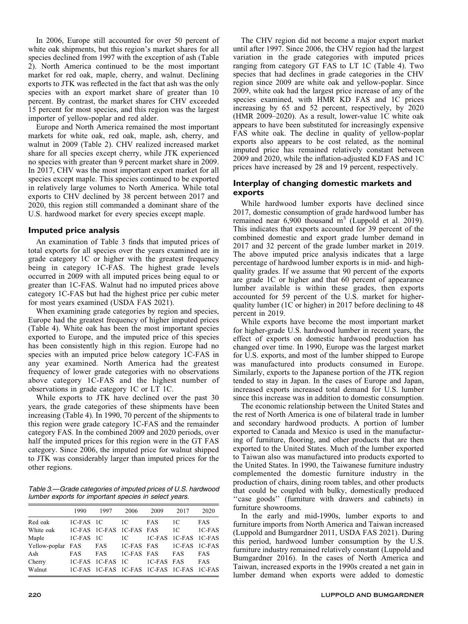In 2006, Europe still accounted for over 50 percent of white oak shipments, but this region's market shares for all species declined from 1997 with the exception of ash (Table 2). North America continued to be the most important market for red oak, maple, cherry, and walnut. Declining exports to JTK was reflected in the fact that ash was the only species with an export market share of greater than 10 percent. By contrast, the market shares for CHV exceeded 15 percent for most species, and this region was the largest importer of yellow-poplar and red alder.

Europe and North America remained the most important markets for white oak, red oak, maple, ash, cherry, and walnut in 2009 (Table 2). CHV realized increased market share for all species except cherry, while JTK experienced no species with greater than 9 percent market share in 2009. In 2017, CHV was the most important export market for all species except maple. This species continued to be exported in relatively large volumes to North America. While total exports to CHV declined by 38 percent between 2017 and 2020, this region still commanded a dominant share of the U.S. hardwood market for every species except maple.

# Imputed price analysis

An examination of Table 3 finds that imputed prices of total exports for all species over the years examined are in grade category 1C or higher with the greatest frequency being in category 1C-FAS. The highest grade levels occurred in 2009 with all imputed prices being equal to or greater than 1C-FAS. Walnut had no imputed prices above category 1C-FAS but had the highest price per cubic meter for most years examined (USDA FAS 2021).

When examining grade categories by region and species, Europe had the greatest frequency of higher imputed prices (Table 4). White oak has been the most important species exported to Europe, and the imputed price of this species has been consistently high in this region. Europe had no species with an imputed price below category 1C-FAS in any year examined. North America had the greatest frequency of lower grade categories with no observations above category 1C-FAS and the highest number of observations in grade category 1C or LT 1C.

While exports to JTK have declined over the past 30 years, the grade categories of these shipments have been increasing (Table 4). In 1990, 70 percent of the shipments to this region were grade category 1C-FAS and the remainder category FAS. In the combined 2009 and 2020 periods, over half the imputed prices for this region were in the GT FAS category. Since 2006, the imputed price for walnut shipped to JTK was considerably larger than imputed prices for the other regions.

Table 3.—Grade categories of imputed prices of U.S. hardwood lumber exports for important species in select years.

|                                                | 1990       | 1997             | 2006       | 2009                                      | 2017       | 2020       |
|------------------------------------------------|------------|------------------|------------|-------------------------------------------|------------|------------|
| Red oak                                        | 1C-FAS 1C  |                  | 1C         | FAS                                       | 1C         | <b>FAS</b> |
| White oak 1C-FAS 1C-FAS 1C-FAS FAS             |            |                  |            |                                           | 1C         | $1C-FAS$   |
| Maple                                          | 1C-FAS 1C  |                  |            | 1C 1C-FAS 1C-FAS 1C-FAS                   |            |            |
| Yellow-poplar FAS FAS 1C-FAS FAS 1C-FAS 1C-FAS |            |                  |            |                                           |            |            |
| Ash                                            | <b>FAS</b> | FAS              | 1C-FAS FAS |                                           | <b>FAS</b> | <b>FAS</b> |
| Cherry                                         |            | 1C-FAS 1C-FAS 1C |            | 1C-FAS FAS                                |            | <b>FAS</b> |
| Walnut                                         |            |                  |            | 1C-FAS 1C-FAS 1C-FAS 1C-FAS 1C-FAS 1C-FAS |            |            |

The CHV region did not become a major export market until after 1997. Since 2006, the CHV region had the largest variation in the grade categories with imputed prices ranging from category GT FAS to LT 1C (Table 4). Two species that had declines in grade categories in the CHV region since 2009 are white oak and yellow-poplar. Since 2009, white oak had the largest price increase of any of the species examined, with HMR KD FAS and 1C prices increasing by 65 and 52 percent, respectively, by 2020 (HMR 2009–2020). As a result, lower-value 1C white oak appears to have been substituted for increasingly expensive FAS white oak. The decline in quality of yellow-poplar exports also appears to be cost related, as the nominal imputed price has remained relatively constant between 2009 and 2020, while the inflation-adjusted KD FAS and 1C prices have increased by 28 and 19 percent, respectively.

# Interplay of changing domestic markets and exports

While hardwood lumber exports have declined since 2017, domestic consumption of grade hardwood lumber has remained near 6,900 thousand m<sup>3</sup> (Luppold et al. 2019). This indicates that exports accounted for 39 percent of the combined domestic and export grade lumber demand in 2017 and 32 percent of the grade lumber market in 2019. The above imputed price analysis indicates that a large percentage of hardwood lumber exports is in mid- and highquality grades. If we assume that 90 percent of the exports are grade 1C or higher and that 60 percent of appearance lumber available is within these grades, then exports accounted for 59 percent of the U.S. market for higherquality lumber (1C or higher) in 2017 before declining to 48 percent in 2019.

While exports have become the most important market for higher-grade U.S. hardwood lumber in recent years, the effect of exports on domestic hardwood production has changed over time. In 1990, Europe was the largest market for U.S. exports, and most of the lumber shipped to Europe was manufactured into products consumed in Europe. Similarly, exports to the Japanese portion of the JTK region tended to stay in Japan. In the cases of Europe and Japan, increased exports increased total demand for U.S. lumber since this increase was in addition to domestic consumption.

The economic relationship between the United States and the rest of North America is one of bilateral trade in lumber and secondary hardwood products. A portion of lumber exported to Canada and Mexico is used in the manufacturing of furniture, flooring, and other products that are then exported to the United States. Much of the lumber exported to Taiwan also was manufactured into products exported to the United States. In 1990, the Taiwanese furniture industry complemented the domestic furniture industry in the production of chairs, dining room tables, and other products that could be coupled with bulky, domestically produced "case goods" (furniture with drawers and cabinets) in furniture showrooms.

In the early and mid-1990s, lumber exports to and furniture imports from North America and Taiwan increased (Luppold and Bumgardner 2011, USDA FAS 2021). During this period, hardwood lumber consumption by the U.S. furniture industry remained relatively constant (Luppold and Bumgardner 2016). In the cases of North America and Taiwan, increased exports in the 1990s created a net gain in lumber demand when exports were added to domestic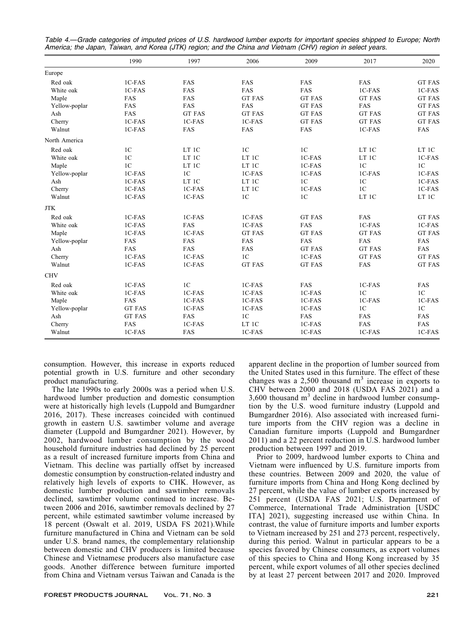|               | 1990           | 1997           | 2006           | 2009           | 2017           | 2020           |
|---------------|----------------|----------------|----------------|----------------|----------------|----------------|
| Europe        |                |                |                |                |                |                |
| Red oak       | 1C-FAS         | FAS            | FAS            | FAS            | FAS            | <b>GT FAS</b>  |
| White oak     | 1C-FAS         | FAS            | <b>FAS</b>     | FAS            | $1C-FAS$       | 1C-FAS         |
| Maple         | FAS            | FAS            | <b>GT FAS</b>  | <b>GT FAS</b>  | <b>GT FAS</b>  | <b>GT FAS</b>  |
| Yellow-poplar | FAS            | FAS            | FAS            | <b>GT FAS</b>  | FAS            | <b>GT FAS</b>  |
| Ash           | FAS            | <b>GT FAS</b>  | <b>GT FAS</b>  | <b>GT FAS</b>  | <b>GT FAS</b>  | <b>GT FAS</b>  |
| Cherry        | 1C-FAS         | 1C-FAS         | $1C$ -FAS      | <b>GT FAS</b>  | <b>GT FAS</b>  | <b>GT FAS</b>  |
| Walnut        | 1C-FAS         | FAS            | FAS            | FAS            | 1C-FAS         | FAS            |
| North America |                |                |                |                |                |                |
| Red oak       | 1 <sup>C</sup> | LT 1C          | 1 <sub>C</sub> | 1 <sub>C</sub> | LT 1C          | LT 1C          |
| White oak     | 1 <sub>C</sub> | LT 1C          | LT 1C          | 1C-FAS         | LT 1C          | 1C-FAS         |
| Maple         | 1 <sub>C</sub> | LT 1C          | LT 1C          | 1C-FAS         | 1 <sup>C</sup> | 1 <sup>C</sup> |
| Yellow-poplar | 1C-FAS         | 1 <sub>C</sub> | 1C-FAS         | 1C-FAS         | 1C-FAS         | 1C-FAS         |
| Ash           | 1C-FAS         | LT 1C          | LT 1C          | 1 <sup>C</sup> | 1 <sup>C</sup> | 1C-FAS         |
| Cherry        | 1C-FAS         | 1C-FAS         | LT 1C          | 1C-FAS         | 1 <sup>C</sup> | 1C-FAS         |
| Walnut        | 1C-FAS         | 1C-FAS         | 1 <sup>C</sup> | 1 <sub>C</sub> | LT 1C          | LT 1C          |
| <b>JTK</b>    |                |                |                |                |                |                |
| Red oak       | 1C-FAS         | $1C$ -FAS      | 1C-FAS         | <b>GT FAS</b>  | FAS            | <b>GT FAS</b>  |
| White oak     | 1C-FAS         | FAS            | 1C-FAS         | FAS            | 1C-FAS         | 1C-FAS         |
| Maple         | 1C-FAS         | 1C-FAS         | <b>GT FAS</b>  | <b>GT FAS</b>  | <b>GT FAS</b>  | <b>GT FAS</b>  |
| Yellow-poplar | FAS            | FAS            | FAS            | FAS            | FAS            | FAS            |
| Ash           | FAS            | FAS            | FAS            | <b>GT FAS</b>  | <b>GT FAS</b>  | FAS            |
| Cherry        | 1C-FAS         | 1C-FAS         | 1 <sup>C</sup> | 1C-FAS         | <b>GT FAS</b>  | <b>GT FAS</b>  |
| Walnut        | 1C-FAS         | 1C-FAS         | <b>GT FAS</b>  | <b>GT FAS</b>  | FAS            | <b>GT FAS</b>  |
| <b>CHV</b>    |                |                |                |                |                |                |
| Red oak       | 1C-FAS         | 1 <sup>C</sup> | 1C-FAS         | FAS            | 1C-FAS         | FAS            |
| White oak     | 1C-FAS         | 1C-FAS         | 1C-FAS         | 1C-FAS         | 1 <sup>C</sup> | 1 <sub>C</sub> |
| Maple         | FAS            | 1C-FAS         | 1C-FAS         | 1C-FAS         | 1C-FAS         | 1C-FAS         |
| Yellow-poplar | <b>GT FAS</b>  | 1C-FAS         | 1C-FAS         | 1C-FAS         | 1 <sup>C</sup> | 1 <sup>C</sup> |
| Ash           | <b>GT FAS</b>  | FAS            | 1 <sup>C</sup> | FAS            | FAS            | FAS            |
| Cherry        | FAS            | 1C-FAS         | LT 1C          | 1C-FAS         | FAS            | FAS            |
| Walnut        | 1C-FAS         | FAS            | 1C-FAS         | 1C-FAS         | 1C-FAS         | 1C-FAS         |

Table 4.—Grade categories of imputed prices of U.S. hardwood lumber exports for important species shipped to Europe; North America; the Japan, Taiwan, and Korea (JTK) region; and the China and Vietnam (CHV) region in select years.

consumption. However, this increase in exports reduced potential growth in U.S. furniture and other secondary product manufacturing.

The late 1990s to early 2000s was a period when U.S. hardwood lumber production and domestic consumption were at historically high levels (Luppold and Bumgardner 2016, 2017). These increases coincided with continued growth in eastern U.S. sawtimber volume and average diameter (Luppold and Bumgardner 2021). However, by 2002, hardwood lumber consumption by the wood household furniture industries had declined by 25 percent as a result of increased furniture imports from China and Vietnam. This decline was partially offset by increased domestic consumption by construction-related industry and relatively high levels of exports to CHK. However, as domestic lumber production and sawtimber removals declined, sawtimber volume continued to increase. Between 2006 and 2016, sawtimber removals declined by 27 percent, while estimated sawtimber volume increased by 18 percent (Oswalt et al. 2019, USDA FS 2021).While furniture manufactured in China and Vietnam can be sold under U.S. brand names, the complementary relationship between domestic and CHV producers is limited because Chinese and Vietnamese producers also manufacture case goods. Another difference between furniture imported from China and Vietnam versus Taiwan and Canada is the apparent decline in the proportion of lumber sourced from the United States used in this furniture. The effect of these changes was a  $2,500$  thousand  $m<sup>3</sup>$  increase in exports to CHV between 2000 and 2018 (USDA FAS 2021) and a  $3,600$  thousand  $m<sup>3</sup>$  decline in hardwood lumber consumption by the U.S. wood furniture industry (Luppold and Bumgardner 2016). Also associated with increased furniture imports from the CHV region was a decline in Canadian furniture imports (Luppold and Bumgardner 2011) and a 22 percent reduction in U.S. hardwood lumber production between 1997 and 2019.

Prior to 2009, hardwood lumber exports to China and Vietnam were influenced by U.S. furniture imports from these countries. Between 2009 and 2020, the value of furniture imports from China and Hong Kong declined by 27 percent, while the value of lumber exports increased by 251 percent (USDA FAS 2021; U.S. Department of Commerce, International Trade Administration [USDC ITA] 2021), suggesting increased use within China. In contrast, the value of furniture imports and lumber exports to Vietnam increased by 251 and 273 percent, respectively, during this period. Walnut in particular appears to be a species favored by Chinese consumers, as export volumes of this species to China and Hong Kong increased by 35 percent, while export volumes of all other species declined by at least 27 percent between 2017 and 2020. Improved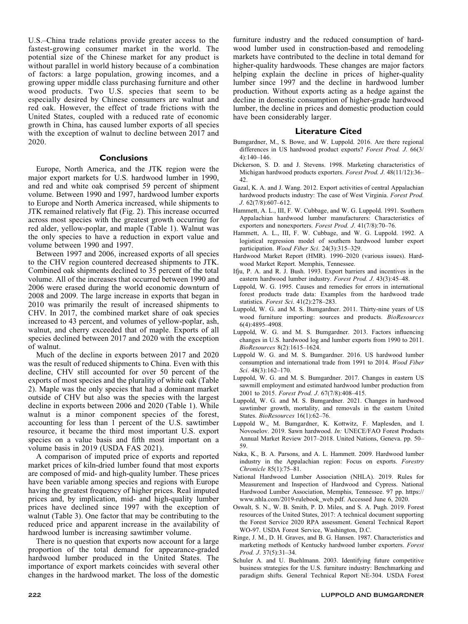U.S.–China trade relations provide greater access to the fastest-growing consumer market in the world. The potential size of the Chinese market for any product is without parallel in world history because of a combination of factors: a large population, growing incomes, and a growing upper middle class purchasing furniture and other wood products. Two U.S. species that seem to be especially desired by Chinese consumers are walnut and red oak. However, the effect of trade frictions with the United States, coupled with a reduced rate of economic growth in China, has caused lumber exports of all species with the exception of walnut to decline between 2017 and 2020.

#### **Conclusions**

Europe, North America, and the JTK region were the major export markets for U.S. hardwood lumber in 1990, and red and white oak comprised 59 percent of shipment volume. Between 1990 and 1997, hardwood lumber exports to Europe and North America increased, while shipments to JTK remained relatively flat (Fig. 2). This increase occurred across most species with the greatest growth occurring for red alder, yellow-poplar, and maple (Table 1). Walnut was the only species to have a reduction in export value and volume between 1990 and 1997.

Between 1997 and 2006, increased exports of all species to the CHV region countered decreased shipments to JTK. Combined oak shipments declined to 35 percent of the total volume. All of the increases that occurred between 1990 and 2006 were erased during the world economic downturn of 2008 and 2009. The large increase in exports that began in 2010 was primarily the result of increased shipments to CHV. In 2017, the combined market share of oak species increased to 43 percent, and volumes of yellow-poplar, ash, walnut, and cherry exceeded that of maple. Exports of all species declined between 2017 and 2020 with the exception of walnut.

Much of the decline in exports between 2017 and 2020 was the result of reduced shipments to China. Even with this decline, CHV still accounted for over 50 percent of the exports of most species and the plurality of white oak (Table 2). Maple was the only species that had a dominant market outside of CHV but also was the species with the largest decline in exports between 2006 and 2020 (Table 1). While walnut is a minor component species of the forest, accounting for less than 1 percent of the U.S. sawtimber resource, it became the third most important U.S. export species on a value basis and fifth most important on a volume basis in 2019 (USDA FAS 2021).

A comparison of imputed price of exports and reported market prices of kiln-dried lumber found that most exports are composed of mid- and high-quality lumber. These prices have been variable among species and regions with Europe having the greatest frequency of higher prices. Real imputed prices and, by implication, mid- and high-quality lumber prices have declined since 1997 with the exception of walnut (Table 3). One factor that may be contributing to the reduced price and apparent increase in the availability of hardwood lumber is increasing sawtimber volume.

There is no question that exports now account for a large proportion of the total demand for appearance-graded hardwood lumber produced in the United States. The importance of export markets coincides with several other changes in the hardwood market. The loss of the domestic

furniture industry and the reduced consumption of hardwood lumber used in construction-based and remodeling markets have contributed to the decline in total demand for higher-quality hardwoods. These changes are major factors helping explain the decline in prices of higher-quality lumber since 1997 and the decline in hardwood lumber production. Without exports acting as a hedge against the decline in domestic consumption of higher-grade hardwood lumber, the decline in prices and domestic production could have been considerably larger.

#### Literature Cited

- Bumgardner, M., S. Bowe, and W. Luppold. 2016. Are there regional differences in US hardwood product exports? Forest Prod. J. 66(3/ 4):140–146.
- Dickerson, S. D. and J. Stevens. 1998. Marketing characteristics of Michigan hardwood products exporters. Forest Prod. J. 48(11/12):36-42.
- Gazal, K. A. and J. Wang. 2012. Export activities of central Appalachian hardwood products industry: The case of West Virginia. Forest Prod. J. 62(7/8):607–612.
- Hammett, A. L., III, F. W. Cubbage, and W. G. Luppold. 1991. Southern Appalachian hardwood lumber manufacturers: Characteristics of exporters and nonexporters. Forest Prod. J. 41(7/8):70–76.
- Hammett, A. L., III, F. W. Cubbage, and W. G. Luppold. 1992. A logistical regression model of southern hardwood lumber export participation. Wood Fiber Sci. 24(3):315–329.
- Hardwood Market Report (HMR). 1990–2020 (various issues). Hardwood Market Report. Memphis, Tennessee.
- Ifju, P. A. and R. J. Bush. 1993. Export barriers and incentives in the eastern hardwood lumber industry. Forest Prod. J. 43(3):45–48.
- Luppold, W. G. 1995. Causes and remedies for errors in international forest products trade data: Examples from the hardwood trade statistics. Forest Sci. 41(2):278–283.
- Luppold, W. G. and M. S. Bumgardner. 2011. Thirty-nine years of US wood furniture importing: sources and products. BioResources 6(4):4895–4908.
- Luppold, W. G. and M. S. Bumgardner. 2013. Factors influencing changes in U.S. hardwood log and lumber exports from 1990 to 2011. BioResources 8(2):1615–1624.
- Luppold W. G. and M. S. Bumgardner. 2016. US hardwood lumber consumption and international trade from 1991 to 2014. Wood Fiber Sci. 48(3):162–170.
- Luppold, W. G. and M. S. Bumgardner. 2017. Changes in eastern US sawmill employment and estimated hardwood lumber production from 2001 to 2015. Forest Prod. J. 67(7/8):408–415.
- Luppold, W. G. and M. S. Bumgardner. 2021. Changes in hardwood sawtimber growth, mortality, and removals in the eastern United States. BioResources 16(1):62-76.
- Luppold W., M. Bumgardner, K. Kottwitz, F. Maplesden, and I. Novoselov. 2019. Sawn hardwood. In: UNECE/FAO Forest Products Annual Market Review 2017–2018. United Nations, Geneva. pp. 50– 59.
- Naka, K., B. A. Parsons, and A. L. Hammett. 2009. Hardwood lumber industry in the Appalachian region: Focus on exports. Forestry Chronicle 85(1):75–81.
- National Hardwood Lumber Association (NHLA). 2019. Rules for Measurement and Inspection of Hardwood and Cypress. National Hardwood Lumber Association, Memphis, Tennessee. 97 pp. https:// www.nhla.com/2019-rulebook\_web.pdf. Accessed June 6, 2020.
- Oswalt, S. N., W. B. Smith, P. D. Miles, and S. A. Pugh. 2019. Forest resources of the United States, 2017: A technical document supporting the Forest Service 2020 RPA assessment. General Technical Report WO-97. USDA Forest Service, Washington, D.C.
- Ringe, J. M., D. H. Graves, and B. G. Hansen. 1987. Characteristics and marketing methods of Kentucky hardwood lumber exporters. Forest Prod. J. 37(5):31–34.
- Schuler A. and U. Buehlmann. 2003. Identifying future competitive business strategies for the U.S. furniture industry: Benchmarking and paradigm shifts. General Technical Report NE-304. USDA Forest